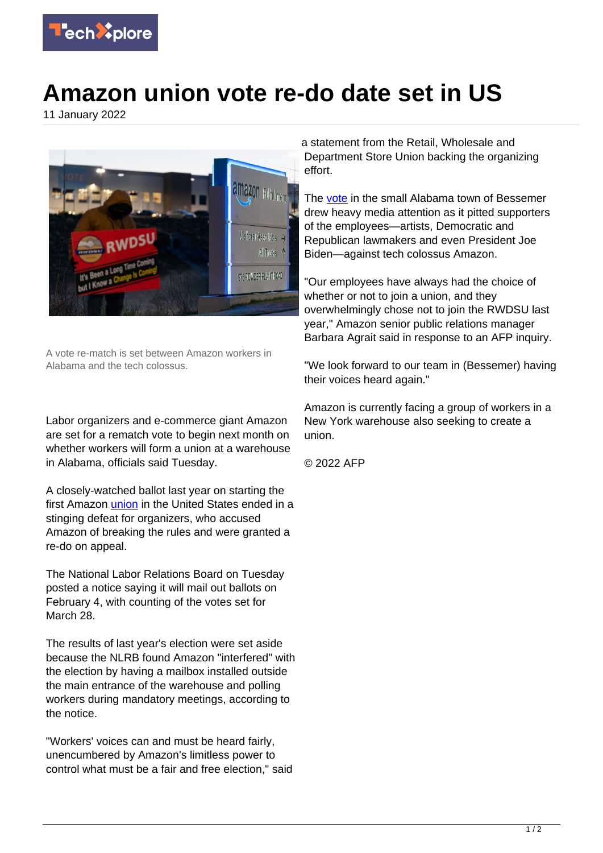

## **Amazon union vote re-do date set in US**

11 January 2022



A vote re-match is set between Amazon workers in Alabama and the tech colossus.

Labor organizers and e-commerce giant Amazon are set for a rematch vote to begin next month on whether workers will form a union at a warehouse in Alabama, officials said Tuesday.

A closely-watched ballot last year on starting the first Amazon *[union](https://techxplore.com/tags/union/)* in the United States ended in a stinging defeat for organizers, who accused Amazon of breaking the rules and were granted a re-do on appeal.

The National Labor Relations Board on Tuesday posted a notice saying it will mail out ballots on February 4, with counting of the votes set for March 28.

The results of last year's election were set aside because the NLRB found Amazon "interfered" with the election by having a mailbox installed outside the main entrance of the warehouse and polling workers during mandatory meetings, according to the notice.

"Workers' voices can and must be heard fairly, unencumbered by Amazon's limitless power to control what must be a fair and free election," said a statement from the Retail, Wholesale and Department Store Union backing the organizing effort.

The [vote](https://techxplore.com/tags/vote/) in the small Alabama town of Bessemer drew heavy media attention as it pitted supporters of the employees—artists, Democratic and Republican lawmakers and even President Joe Biden—against tech colossus Amazon.

"Our employees have always had the choice of whether or not to join a union, and they overwhelmingly chose not to join the RWDSU last year," Amazon senior public relations manager Barbara Agrait said in response to an AFP inquiry.

"We look forward to our team in (Bessemer) having their voices heard again."

Amazon is currently facing a group of workers in a New York warehouse also seeking to create a union.

© 2022 AFP